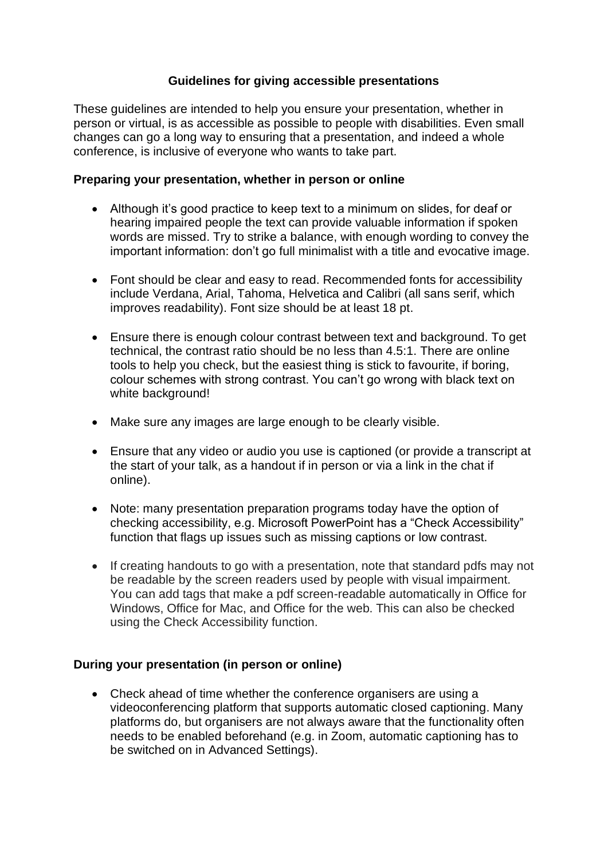## **Guidelines for giving accessible presentations**

These guidelines are intended to help you ensure your presentation, whether in person or virtual, is as accessible as possible to people with disabilities. Even small changes can go a long way to ensuring that a presentation, and indeed a whole conference, is inclusive of everyone who wants to take part.

## **Preparing your presentation, whether in person or online**

- Although it's good practice to keep text to a minimum on slides, for deaf or hearing impaired people the text can provide valuable information if spoken words are missed. Try to strike a balance, with enough wording to convey the important information: don't go full minimalist with a title and evocative image.
- Font should be clear and easy to read. Recommended fonts for accessibility include Verdana, Arial, Tahoma, Helvetica and Calibri (all sans serif, which improves readability). Font size should be at least 18 pt.
- Ensure there is enough colour contrast between text and background. To get technical, the contrast ratio should be no less than 4.5:1. There are online tools to help you check, but the easiest thing is stick to favourite, if boring, colour schemes with strong contrast. You can't go wrong with black text on white background!
- Make sure any images are large enough to be clearly visible.
- Ensure that any video or audio you use is captioned (or provide a transcript at the start of your talk, as a handout if in person or via a link in the chat if online).
- Note: many presentation preparation programs today have the option of checking accessibility, e.g. Microsoft PowerPoint has a "Check Accessibility" function that flags up issues such as missing captions or low contrast.
- If creating handouts to go with a presentation, note that standard pdfs may not be readable by the screen readers used by people with visual impairment. You can add tags that make a pdf screen-readable automatically in Office for Windows, Office for Mac, and Office for the web. This can also be checked using the Check Accessibility function.

## **During your presentation (in person or online)**

• Check ahead of time whether the conference organisers are using a videoconferencing platform that supports automatic closed captioning. Many platforms do, but organisers are not always aware that the functionality often needs to be enabled beforehand (e.g. in Zoom, automatic captioning has to be switched on in Advanced Settings).